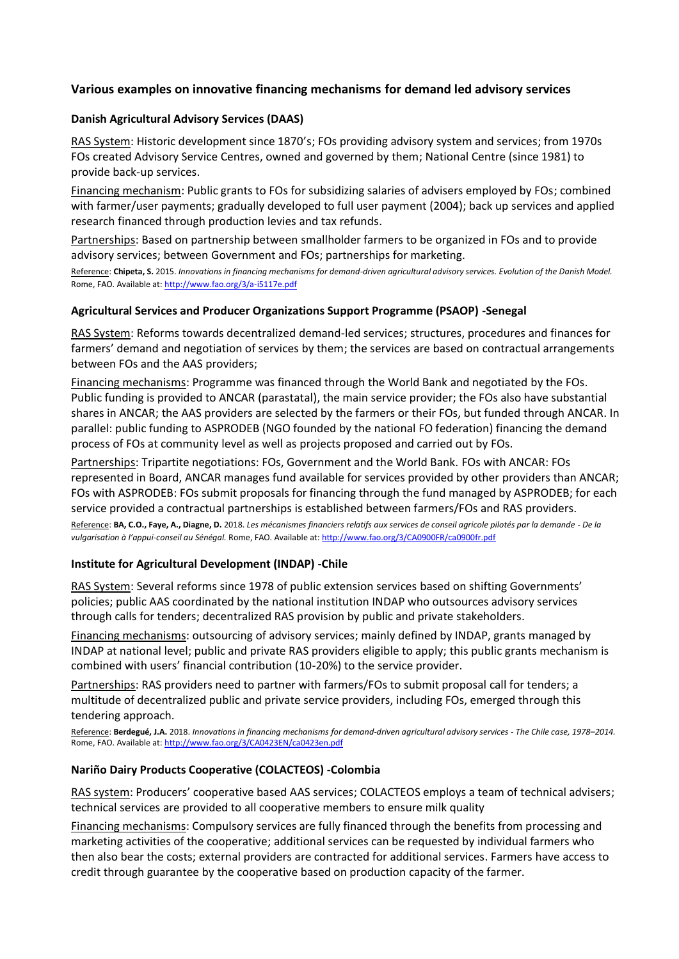# **Various examples on innovative financing mechanisms for demand led advisory services**

## **Danish Agricultural Advisory Services (DAAS)**

RAS System: Historic development since 1870's; FOs providing advisory system and services; from 1970s FOs created Advisory Service Centres, owned and governed by them; National Centre (since 1981) to provide back-up services.

Financing mechanism: Public grants to FOs for subsidizing salaries of advisers employed by FOs; combined with farmer/user payments; gradually developed to full user payment (2004); back up services and applied research financed through production levies and tax refunds.

Partnerships: Based on partnership between smallholder farmers to be organized in FOs and to provide advisory services; between Government and FOs; partnerships for marketing.

Reference: **Chipeta, S.** 2015. *Innovations in financing mechanisms for demand-driven agricultural advisory services. Evolution of the Danish Model.* Rome, FAO. Available at[: http://www.fao.org/3/a-i5117e.pdf](http://www.fao.org/3/a-i5117e.pdf)

## **Agricultural Services and Producer Organizations Support Programme (PSAOP) -Senegal**

RAS System: Reforms towards decentralized demand-led services; structures, procedures and finances for farmers' demand and negotiation of services by them; the services are based on contractual arrangements between FOs and the AAS providers;

Financing mechanisms: Programme was financed through the World Bank and negotiated by the FOs. Public funding is provided to ANCAR (parastatal), the main service provider; the FOs also have substantial shares in ANCAR; the AAS providers are selected by the farmers or their FOs, but funded through ANCAR. In parallel: public funding to ASPRODEB (NGO founded by the national FO federation) financing the demand process of FOs at community level as well as projects proposed and carried out by FOs.

Partnerships: Tripartite negotiations: FOs, Government and the World Bank. FOs with ANCAR: FOs represented in Board, ANCAR manages fund available for services provided by other providers than ANCAR; FOs with ASPRODEB: FOs submit proposals for financing through the fund managed by ASPRODEB; for each service provided a contractual partnerships is established between farmers/FOs and RAS providers.

Reference: **BA, C.O., Faye, A., Diagne, D.** 2018. *Les mécanismes financiers relatifs aux services de conseil agricole pilotés par la demande - De la vulgarisation à l'appui-conseil au Sénégal.* Rome, FAO. Available at[: http://www.fao.org/3/CA0900FR/ca0900fr.pdf](http://www.fao.org/3/CA0900FR/ca0900fr.pdf)

### **Institute for Agricultural Development (INDAP) -Chile**

RAS System: Several reforms since 1978 of public extension services based on shifting Governments' policies; public AAS coordinated by the national institution INDAP who outsources advisory services through calls for tenders; decentralized RAS provision by public and private stakeholders.

Financing mechanisms: outsourcing of advisory services; mainly defined by INDAP, grants managed by INDAP at national level; public and private RAS providers eligible to apply; this public grants mechanism is combined with users' financial contribution (10-20%) to the service provider.

Partnerships: RAS providers need to partner with farmers/FOs to submit proposal call for tenders; a multitude of decentralized public and private service providers, including FOs, emerged through this tendering approach.

Reference: **Berdegué, J.A.** 2018. *Innovations in financing mechanisms for demand-driven agricultural advisory services - The Chile case, 1978–2014.* Rome, FAO. Available at[: http://www.fao.org/3/CA0423EN/ca0423en.pdf](http://www.fao.org/3/CA0423EN/ca0423en.pdf)

# **Nariño Dairy Products Cooperative (COLACTEOS) -Colombia**

RAS system: Producers' cooperative based AAS services; COLACTEOS employs a team of technical advisers; technical services are provided to all cooperative members to ensure milk quality

Financing mechanisms: Compulsory services are fully financed through the benefits from processing and marketing activities of the cooperative; additional services can be requested by individual farmers who then also bear the costs; external providers are contracted for additional services. Farmers have access to credit through guarantee by the cooperative based on production capacity of the farmer.